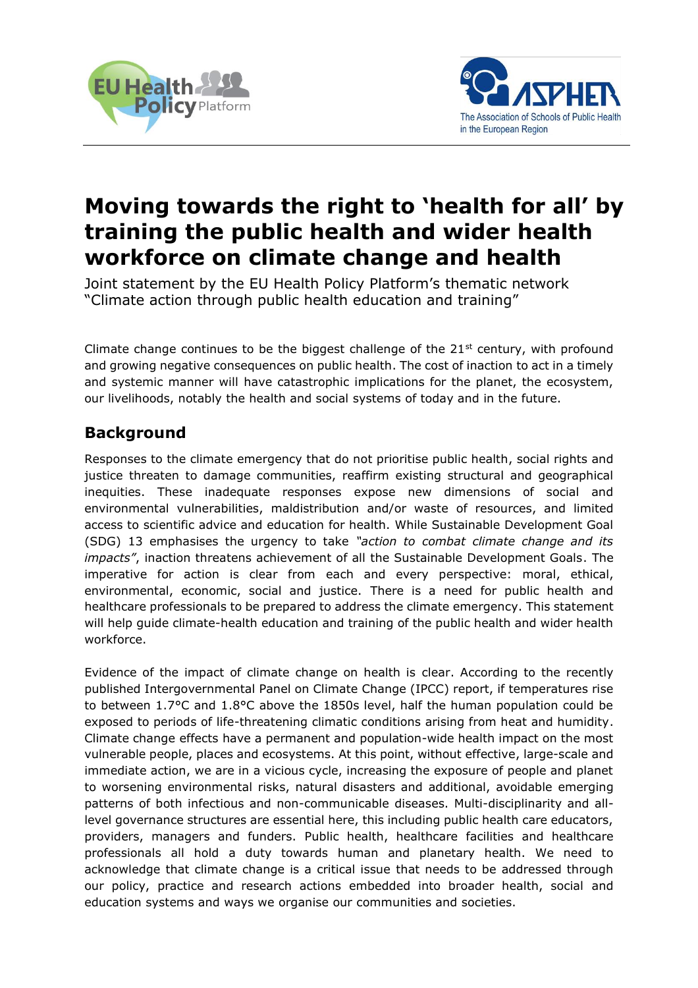



# **Moving towards the right to 'health for all' by training the public health and wider health workforce on climate change and health**

Joint statement by the EU Health Policy Platform's thematic network "Climate action through public health education and training"

Climate change continues to be the biggest challenge of the  $21^{st}$  century, with profound and growing negative consequences on public health. The cost of inaction to act in a timely and systemic manner will have catastrophic implications for the planet, the ecosystem, our livelihoods, notably the health and social systems of today and in the future.

## **Background**

Responses to the climate emergency that do not prioritise public health, social rights and justice threaten to damage communities, reaffirm existing structural and geographical inequities. These inadequate responses expose new dimensions of social and environmental vulnerabilities, maldistribution and/or waste of resources, and limited access to scientific advice and education for health. While Sustainable Development Goal (SDG) 13 emphasises the urgency to take *"action to combat climate change and its impacts"*, inaction threatens achievement of all the Sustainable Development Goals. The imperative for action is clear from each and every perspective: moral, ethical, environmental, economic, social and justice. There is a need for public health and healthcare professionals to be prepared to address the climate emergency. This statement will help guide climate-health education and training of the public health and wider health workforce.

Evidence of the impact of climate change on health is clear. According to the recently published Intergovernmental Panel on Climate Change (IPCC) report, if temperatures rise to between 1.7°C and 1.8°C above the 1850s level, half the human population could be exposed to periods of life-threatening climatic conditions arising from heat and humidity. Climate change effects have a permanent and population-wide health impact on the most vulnerable people, places and ecosystems. At this point, without effective, large-scale and immediate action, we are in a vicious cycle, increasing the exposure of people and planet to worsening environmental risks, natural disasters and additional, avoidable emerging patterns of both infectious and non-communicable diseases. Multi-disciplinarity and alllevel governance structures are essential here, this including public health care educators, providers, managers and funders. Public health, healthcare facilities and healthcare professionals all hold a duty towards human and planetary health. We need to acknowledge that climate change is a critical issue that needs to be addressed through our policy, practice and research actions embedded into broader health, social and education systems and ways we organise our communities and societies.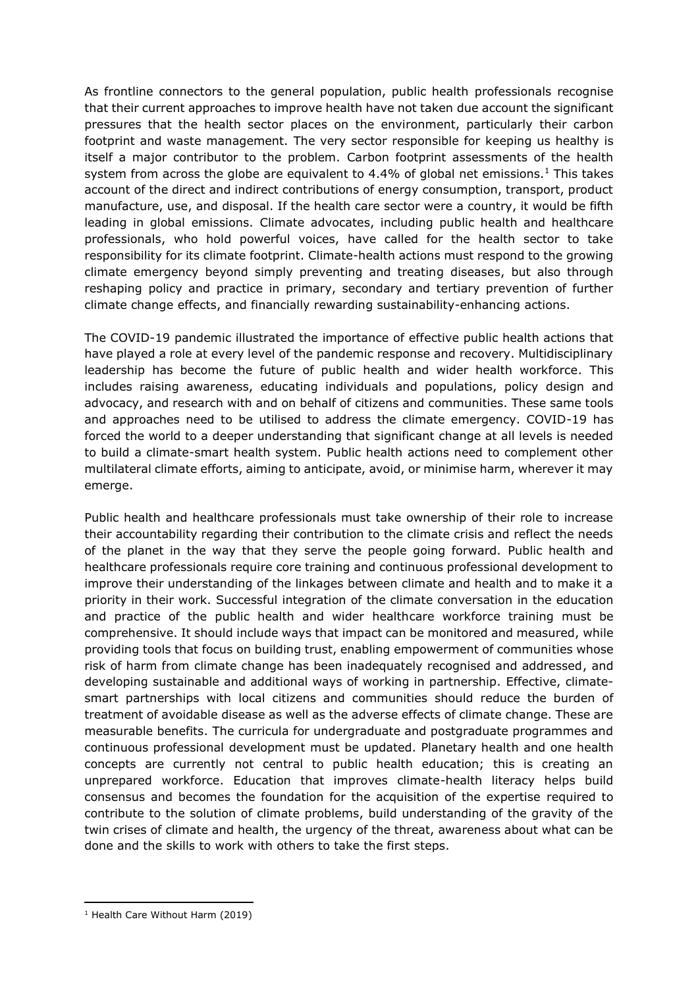As frontline connectors to the general population, public health professionals recognise that their current approaches to improve health have not taken due account the significant pressures that the health sector places on the environment, particularly their carbon footprint and waste management. The very sector responsible for keeping us healthy is itself a major contributor to the problem. Carbon footprint assessments of the health system from across the globe are equivalent to 4.4% of global net emissions.<sup>1</sup> This takes account of the direct and indirect contributions of energy consumption, transport, product manufacture, use, and disposal. If the health care sector were a country, it would be fifth leading in global emissions. Climate advocates, including public health and healthcare professionals, who hold powerful voices, have called for the health sector to take responsibility for its climate footprint. Climate-health actions must respond to the growing climate emergency beyond simply preventing and treating diseases, but also through reshaping policy and practice in primary, secondary and tertiary prevention of further climate change effects, and financially rewarding sustainability-enhancing actions.

The COVID-19 pandemic illustrated the importance of effective public health actions that have played a role at every level of the pandemic response and recovery. Multidisciplinary leadership has become the future of public health and wider health workforce. This includes raising awareness, educating individuals and populations, policy design and advocacy, and research with and on behalf of citizens and communities. These same tools and approaches need to be utilised to address the climate emergency. COVID-19 has forced the world to a deeper understanding that significant change at all levels is needed to build a climate-smart health system. Public health actions need to complement other multilateral climate efforts, aiming to anticipate, avoid, or minimise harm, wherever it may emerge.

Public health and healthcare professionals must take ownership of their role to increase their accountability regarding their contribution to the climate crisis and reflect the needs of the planet in the way that they serve the people going forward. Public health and healthcare professionals require core training and continuous professional development to improve their understanding of the linkages between climate and health and to make it a priority in their work. Successful integration of the climate conversation in the education and practice of the public health and wider healthcare workforce training must be comprehensive. It should include ways that impact can be monitored and measured, while providing tools that focus on building trust, enabling empowerment of communities whose risk of harm from climate change has been inadequately recognised and addressed, and developing sustainable and additional ways of working in partnership. Effective, climatesmart partnerships with local citizens and communities should reduce the burden of treatment of avoidable disease as well as the adverse effects of climate change. These are measurable benefits. The curricula for undergraduate and postgraduate programmes and continuous professional development must be updated. Planetary health and one health concepts are currently not central to public health education; this is creating an unprepared workforce. Education that improves climate-health literacy helps build consensus and becomes the foundation for the acquisition of the expertise required to contribute to the solution of climate problems, build understanding of the gravity of the twin crises of climate and health, the urgency of the threat, awareness about what can be done and the skills to work with others to take the first steps.

<sup>&</sup>lt;sup>1</sup> Health Care Without Harm (2019)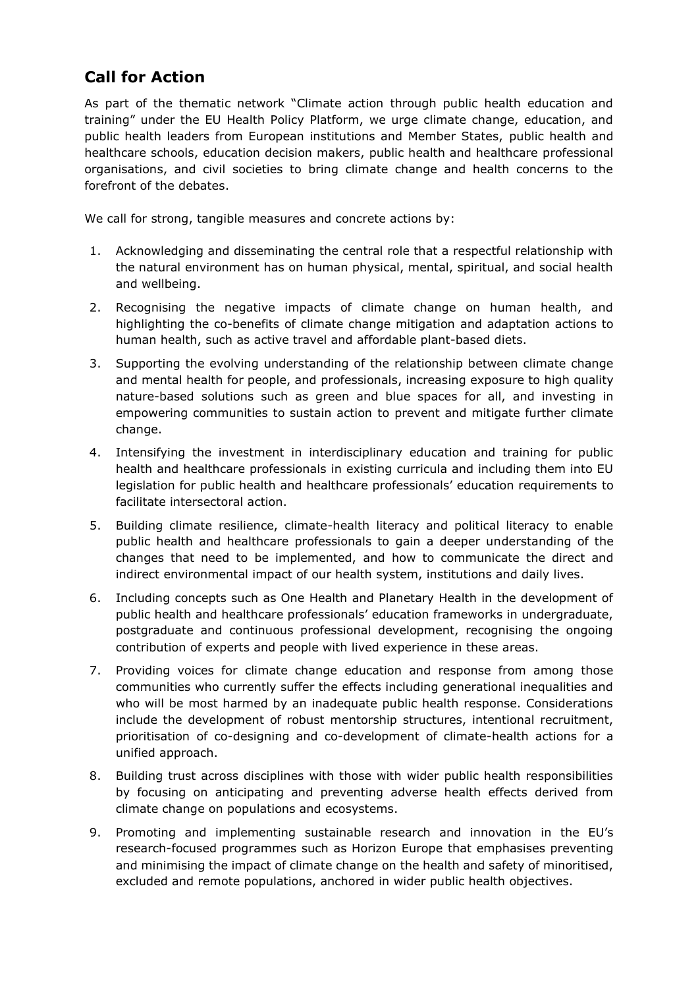## **Call for Action**

As part of the thematic network "Climate action through public health education and training" under the EU Health Policy Platform, we urge climate change, education, and public health leaders from European institutions and Member States, public health and healthcare schools, education decision makers, public health and healthcare professional organisations, and civil societies to bring climate change and health concerns to the forefront of the debates.

We call for strong, tangible measures and concrete actions by:

- 1. Acknowledging and disseminating the central role that a respectful relationship with the natural environment has on human physical, mental, spiritual, and social health and wellbeing.
- 2. Recognising the negative impacts of climate change on human health, and highlighting the co-benefits of climate change mitigation and adaptation actions to human health, such as active travel and affordable plant-based diets.
- 3. Supporting the evolving understanding of the relationship between climate change and mental health for people, and professionals, increasing exposure to high quality nature-based solutions such as green and blue spaces for all, and investing in empowering communities to sustain action to prevent and mitigate further climate change.
- 4. Intensifying the investment in interdisciplinary education and training for public health and healthcare professionals in existing curricula and including them into EU legislation for public health and healthcare professionals' education requirements to facilitate intersectoral action.
- 5. Building climate resilience, climate-health literacy and political literacy to enable public health and healthcare professionals to gain a deeper understanding of the changes that need to be implemented, and how to communicate the direct and indirect environmental impact of our health system, institutions and daily lives.
- 6. Including concepts such as One Health and Planetary Health in the development of public health and healthcare professionals' education frameworks in undergraduate, postgraduate and continuous professional development, recognising the ongoing contribution of experts and people with lived experience in these areas.
- 7. Providing voices for climate change education and response from among those communities who currently suffer the effects including generational inequalities and who will be most harmed by an inadequate public health response. Considerations include the development of robust mentorship structures, intentional recruitment, prioritisation of co-designing and co-development of climate-health actions for a unified approach.
- 8. Building trust across disciplines with those with wider public health responsibilities by focusing on anticipating and preventing adverse health effects derived from climate change on populations and ecosystems.
- 9. Promoting and implementing sustainable research and innovation in the EU's research-focused programmes such as Horizon Europe that emphasises preventing and minimising the impact of climate change on the health and safety of minoritised, excluded and remote populations, anchored in wider public health objectives.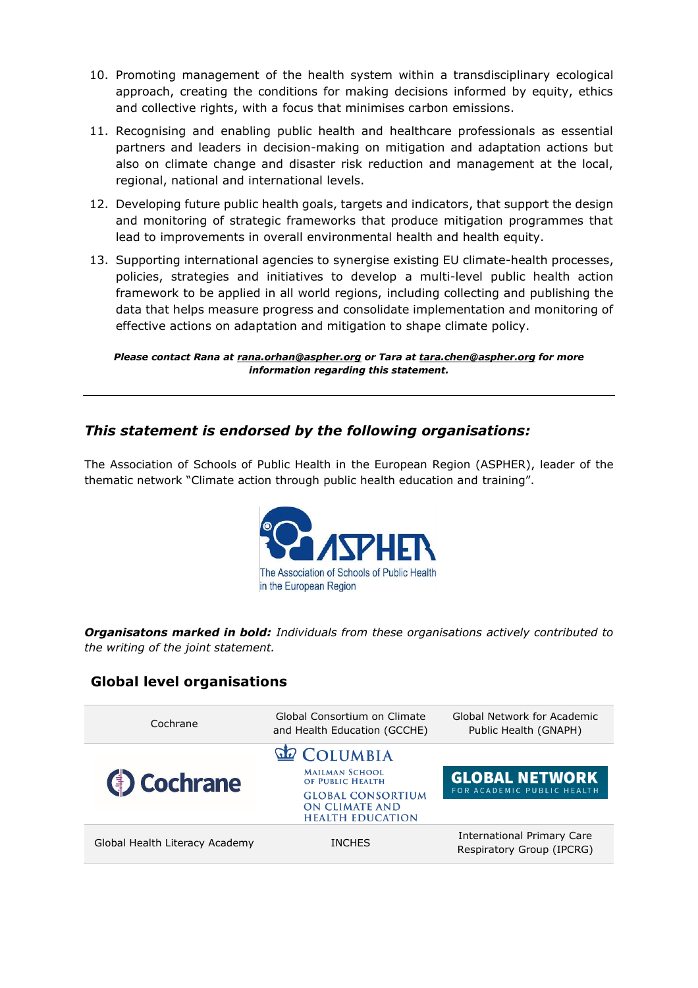- 10. Promoting management of the health system within a transdisciplinary ecological approach, creating the conditions for making decisions informed by equity, ethics and collective rights, with a focus that minimises carbon emissions.
- 11. Recognising and enabling public health and healthcare professionals as essential partners and leaders in decision-making on mitigation and adaptation actions but also on climate change and disaster risk reduction and management at the local, regional, national and international levels.
- 12. Developing future public health goals, targets and indicators, that support the design and monitoring of strategic frameworks that produce mitigation programmes that lead to improvements in overall environmental health and health equity.
- 13. Supporting international agencies to synergise existing EU climate-health processes, policies, strategies and initiatives to develop a multi-level public health action framework to be applied in all world regions, including collecting and publishing the data that helps measure progress and consolidate implementation and monitoring of effective actions on adaptation and mitigation to shape climate policy.

*Please contact Rana at [rana.orhan@aspher.org](mailto:rana.orhan@aspher.org) or Tara at [tara.chen@aspher.org](mailto:tara.chen@aspher.org) for more information regarding this statement.*

#### *This statement is endorsed by the following organisations:*

The Association of Schools of Public Health in the European Region (ASPHER), leader of the thematic network "Climate action through public health education and training".



*Organisatons marked in bold: Individuals from these organisations actively contributed to the writing of the joint statement.*

### **Global level organisations**

| Cochrane                       | Global Consortium on Climate<br>and Health Education (GCCHE)                 | Global Network for Academic<br>Public Health (GNAPH)           |
|--------------------------------|------------------------------------------------------------------------------|----------------------------------------------------------------|
|                                | <b>COLUMBIA</b>                                                              |                                                                |
| <b>(b)</b> Cochrane            | <b>MAILMAN SCHOOL</b><br>OF PUBLIC HEALTH                                    | <b>GLOBAL NETWORK</b>                                          |
|                                | <b>GLOBAL CONSORTIUM</b><br><b>ON CLIMATE AND</b><br><b>HEALTH EDUCATION</b> | FOR ACADEMIC PUBLIC HEALTH                                     |
| Global Health Literacy Academy | <b>INCHES</b>                                                                | <b>International Primary Care</b><br>Respiratory Group (IPCRG) |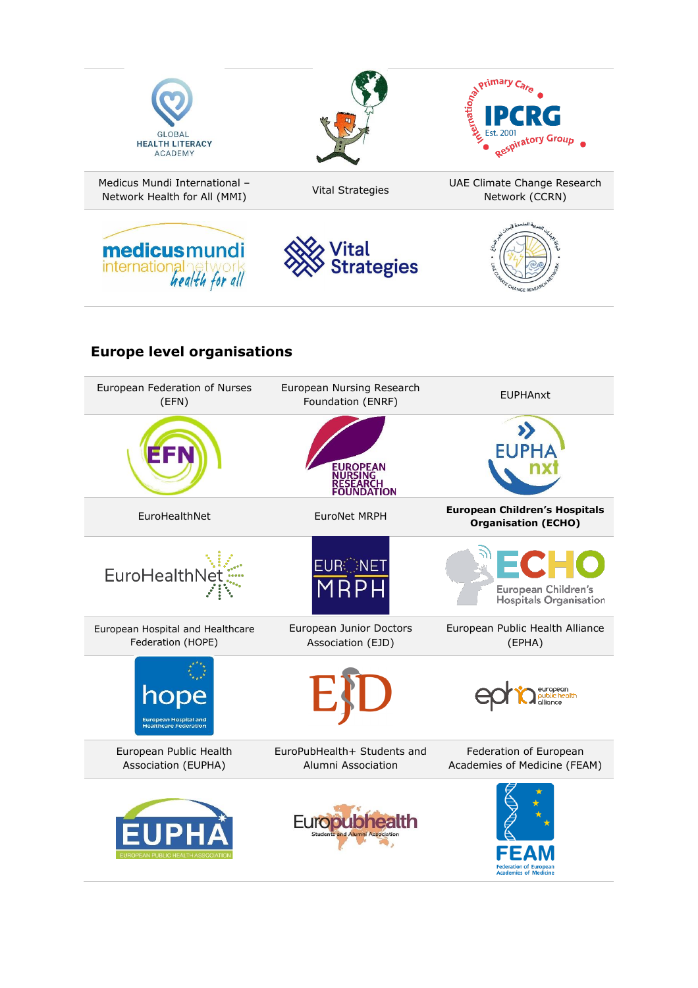







## **Europe level organisations**

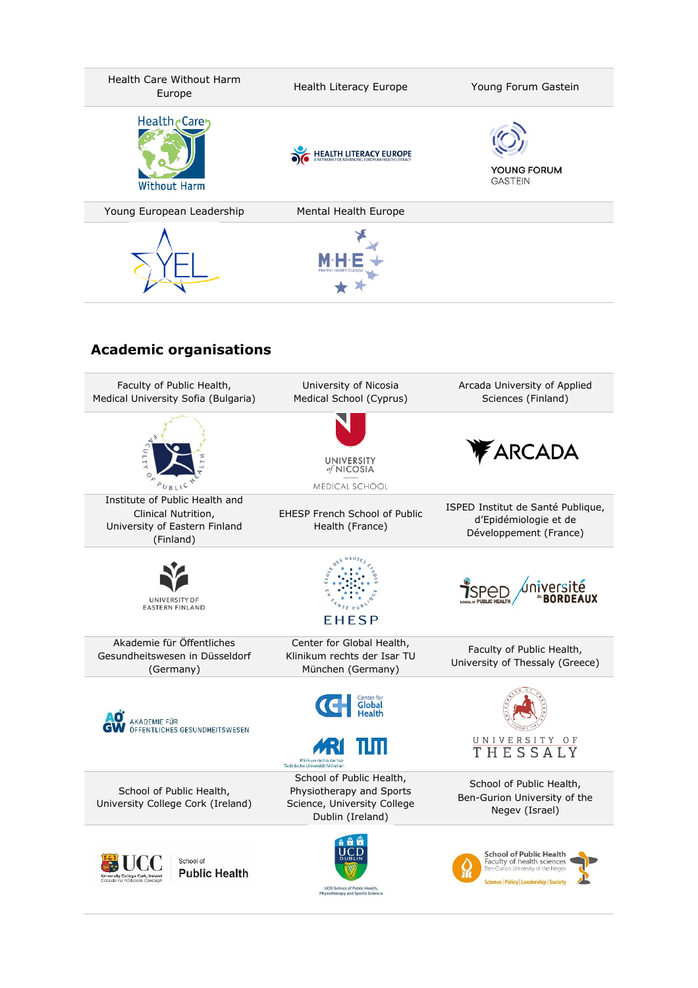

## **Academic organisations**

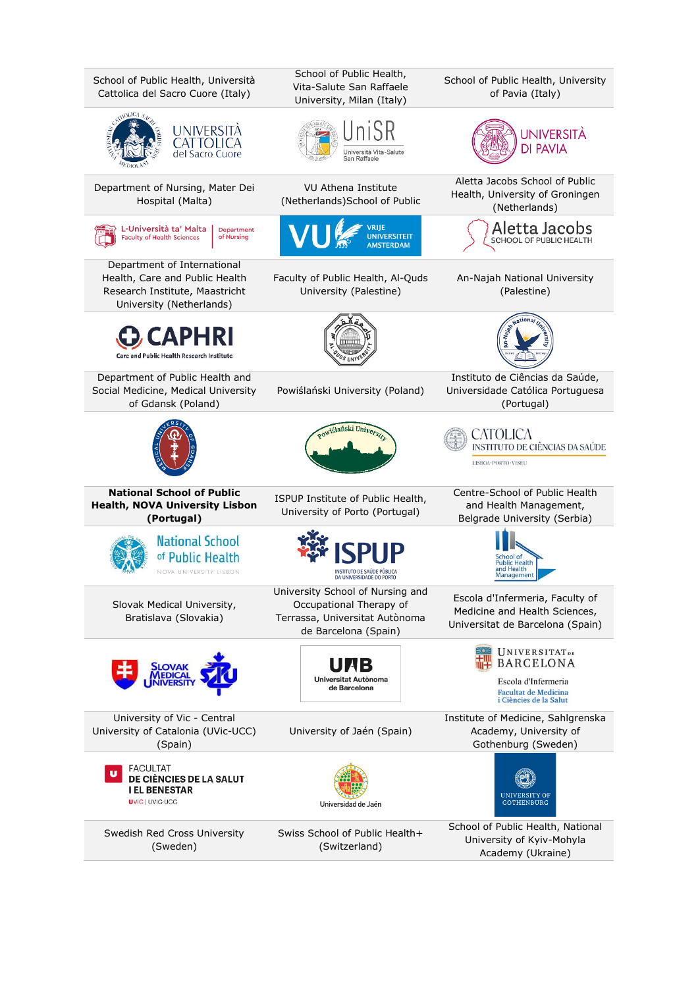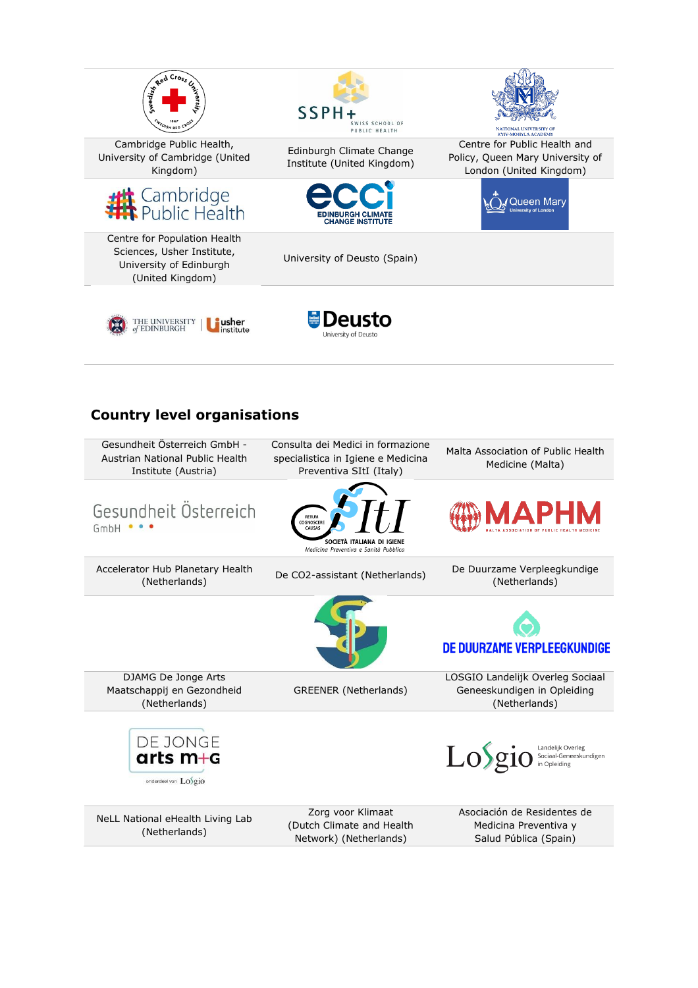

Cambridge Public Health, University of Cambridge (United Kingdom)



Centre for Population Health Sciences, Usher Institute, University of Edinburgh (United Kingdom)



Edinburgh Climate Change Institute (United Kingdom)

Centre for Public Health and Policy, Queen Mary University of London (United Kingdom)

Queen Mary



University of Deusto (Spain)





## **Country level organisations**

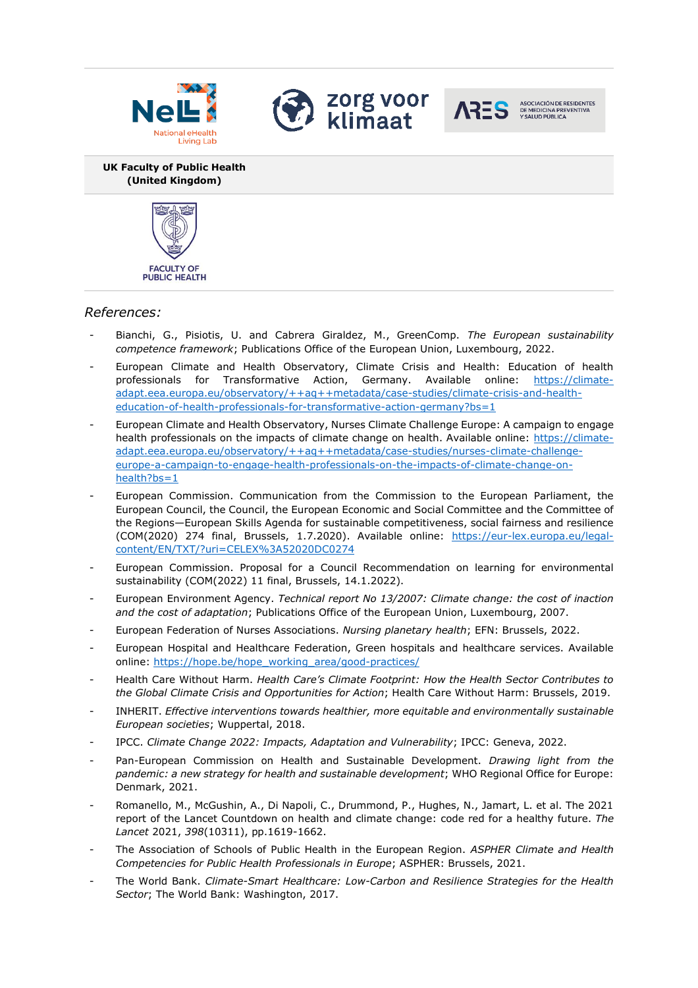







**UK Faculty of Public Health (United Kingdom)**



#### *References:*

- Bianchi, G., Pisiotis, U. and Cabrera Giraldez, M., GreenComp. *The European sustainability competence framework*; Publications Office of the European Union, Luxembourg, 2022.
- European Climate and Health Observatory, Climate Crisis and Health: Education of health professionals for Transformative Action, Germany. Available online: [https://climate](https://climate-adapt.eea.europa.eu/observatory/++aq++metadata/case-studies/climate-crisis-and-health-education-of-health-professionals-for-transformative-action-germany?bs=1)[adapt.eea.europa.eu/observatory/++aq++metadata/case-studies/climate-crisis-and-health](https://climate-adapt.eea.europa.eu/observatory/++aq++metadata/case-studies/climate-crisis-and-health-education-of-health-professionals-for-transformative-action-germany?bs=1)[education-of-health-professionals-for-transformative-action-germany?bs=1](https://climate-adapt.eea.europa.eu/observatory/++aq++metadata/case-studies/climate-crisis-and-health-education-of-health-professionals-for-transformative-action-germany?bs=1)
- European Climate and Health Observatory, Nurses Climate Challenge Europe: A campaign to engage health professionals on the impacts of climate change on health. Available online: [https://climate](https://climate-adapt.eea.europa.eu/observatory/++aq++metadata/case-studies/nurses-climate-challenge-europe-a-campaign-to-engage-health-professionals-on-the-impacts-of-climate-change-on-health?bs=1)[adapt.eea.europa.eu/observatory/++aq++metadata/case-studies/nurses-climate-challenge](https://climate-adapt.eea.europa.eu/observatory/++aq++metadata/case-studies/nurses-climate-challenge-europe-a-campaign-to-engage-health-professionals-on-the-impacts-of-climate-change-on-health?bs=1)[europe-a-campaign-to-engage-health-professionals-on-the-impacts-of-climate-change-on](https://climate-adapt.eea.europa.eu/observatory/++aq++metadata/case-studies/nurses-climate-challenge-europe-a-campaign-to-engage-health-professionals-on-the-impacts-of-climate-change-on-health?bs=1)[health?bs=1](https://climate-adapt.eea.europa.eu/observatory/++aq++metadata/case-studies/nurses-climate-challenge-europe-a-campaign-to-engage-health-professionals-on-the-impacts-of-climate-change-on-health?bs=1)
- European Commission. Communication from the Commission to the European Parliament, the European Council, the Council, the European Economic and Social Committee and the Committee of the Regions—European Skills Agenda for sustainable competitiveness, social fairness and resilience (COM(2020) 274 final, Brussels, 1.7.2020). Available online: [https://eur-lex.europa.eu/legal](https://eur-lex.europa.eu/legal-content/EN/TXT/?uri=CELEX%3A52020DC0274)[content/EN/TXT/?uri=CELEX%3A52020DC0274](https://eur-lex.europa.eu/legal-content/EN/TXT/?uri=CELEX%3A52020DC0274)
- European Commission. Proposal for a Council Recommendation on learning for environmental sustainability (COM(2022) 11 final, Brussels, 14.1.2022).
- European Environment Agency. *Technical report No 13/2007: Climate change: the cost of inaction and the cost of adaptation*; Publications Office of the European Union, Luxembourg, 2007.
- European Federation of Nurses Associations. *Nursing planetary health*; EFN: Brussels, 2022.
- European Hospital and Healthcare Federation, Green hospitals and healthcare services. Available online: [https://hope.be/hope\\_working\\_area/good-practices/](https://hope.be/hope_working_area/good-practices/)
- Health Care Without Harm. *Health Care's Climate Footprint: How the Health Sector Contributes to the Global Climate Crisis and Opportunities for Action*; Health Care Without Harm: Brussels, 2019.
- INHERIT. *Effective interventions towards healthier, more equitable and environmentally sustainable European societies*; Wuppertal, 2018.
- IPCC. *Climate Change 2022: Impacts, Adaptation and Vulnerability*; IPCC: Geneva, 2022.
- Pan-European Commission on Health and Sustainable Development. *Drawing light from the pandemic: a new strategy for health and sustainable development*; WHO Regional Office for Europe: Denmark, 2021.
- Romanello, M., McGushin, A., Di Napoli, C., Drummond, P., Hughes, N., Jamart, L. et al. The 2021 report of the Lancet Countdown on health and climate change: code red for a healthy future. *The Lancet* 2021, *398*(10311), pp.1619-1662.
- The Association of Schools of Public Health in the European Region. *ASPHER Climate and Health Competencies for Public Health Professionals in Europe*; ASPHER: Brussels, 2021.
- The World Bank. *Climate-Smart Healthcare: Low-Carbon and Resilience Strategies for the Health Sector*; The World Bank: Washington, 2017.